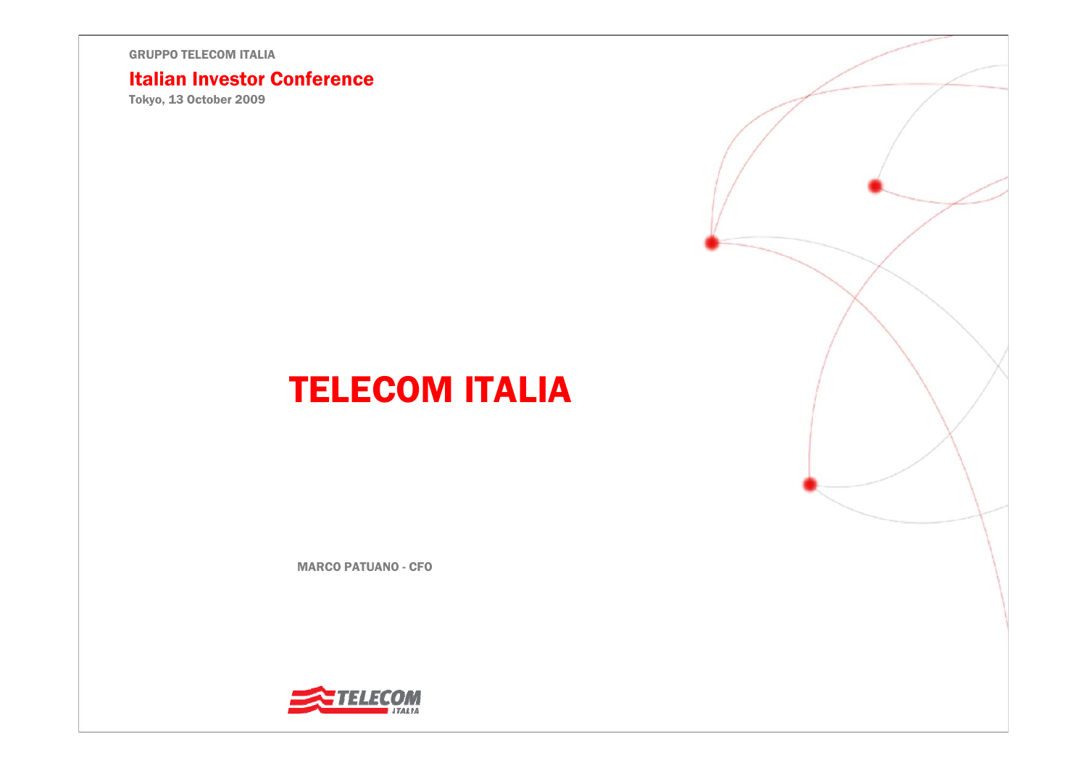#### Italian Investor Conference

Tokyo, 13 October 2009

# TELECOM ITALIA

MARCO PATUANO - CFO

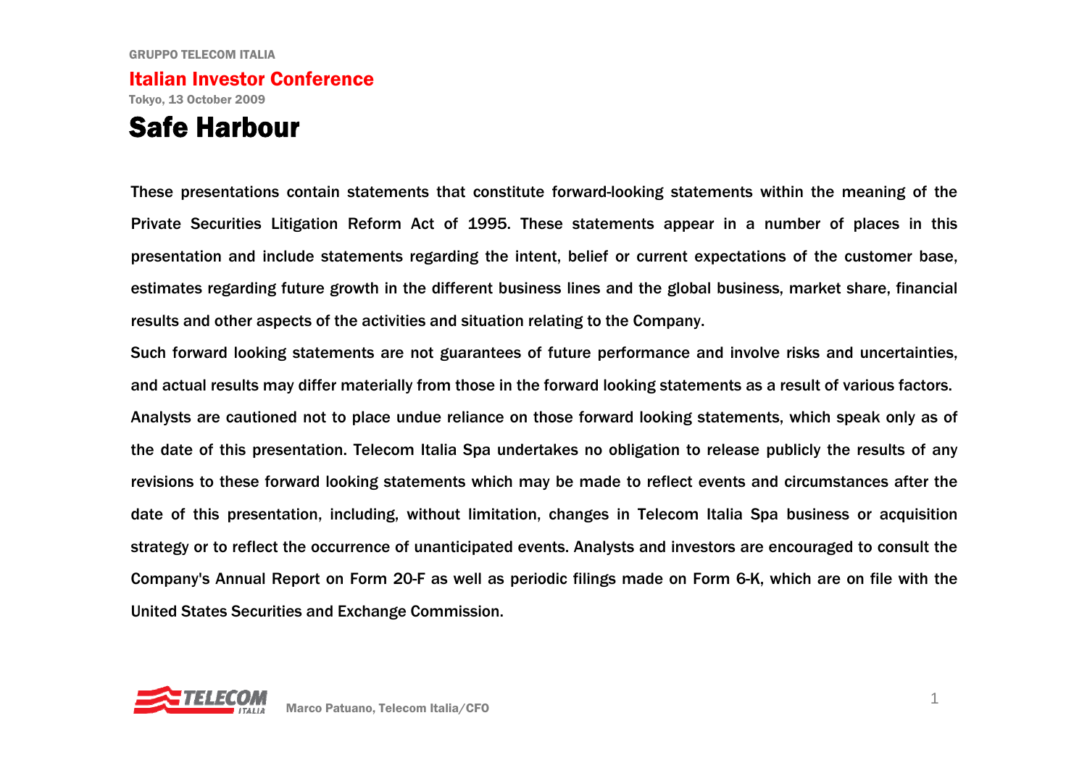### Italian Investor ConferenceTokyo, 13 October 2009

### Safe Harbour

These presentations contain statements that constitute forward-looking statements within the meaning of the Private Securities Litigation Reform Act of 1995. These statements appear in a number of places in this presentation and include statements regarding the intent, belief or current expectations of the customer base, estimates regarding future growth in the different business lines and the global business, market share, financial results and other aspects of the activities and situation relating to the Company.

Such forward looking statements are not guarantees of future performance and involve risks and uncertainties, and actual results may differ materially from those in the forward looking statements as a result of various factors. Analysts are cautioned not to place undue reliance on those forward looking statements, which speak only as of the date of this presentation. Telecom Italia Spa undertakes no obligation to release publicly the results of any revisions to these forward looking statements which may be made to reflect events and circumstances after the date of this presentation, including, without limitation, changes in Telecom Italia Spa business or acquisition strategy or to reflect the occurrence of unanticipated events. Analysts and investors are encouraged to consult the Company's Annual Report on Form 20-F as well as periodic filings made on Form 6-K, which are on file with the United States Securities and Exchange Commission.

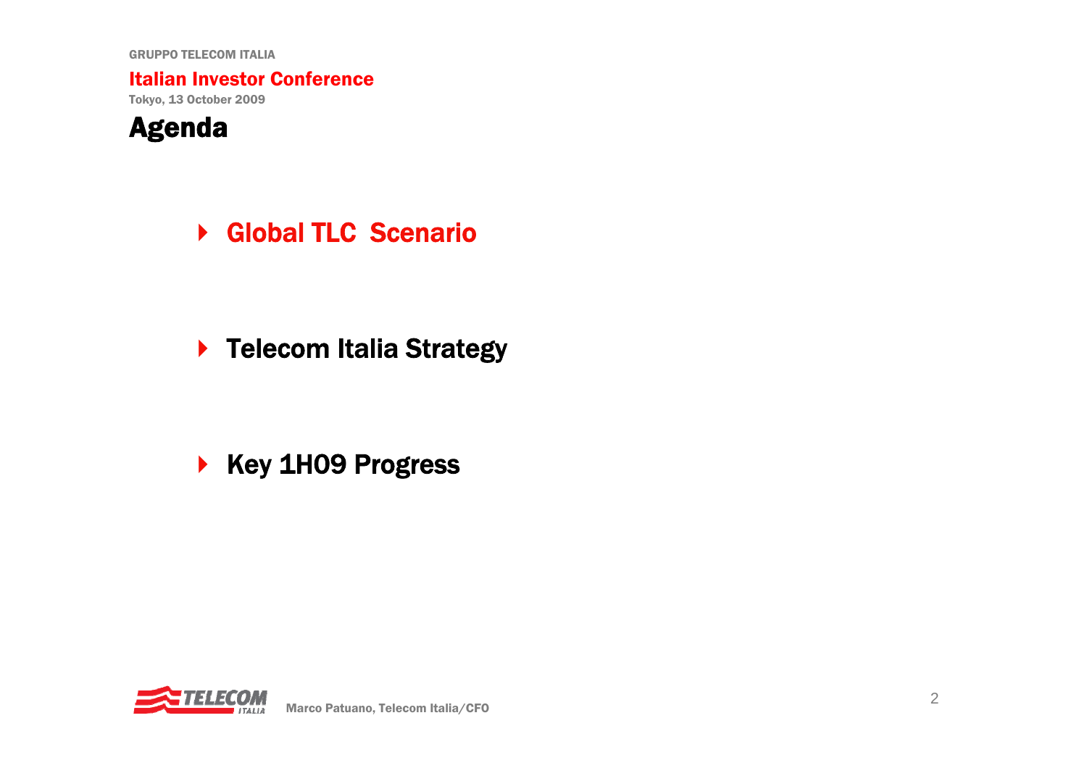Italian Investor Conference

Tokyo, 13 October 2009



▶ Global TLC Scenario

▶ Telecom Italia Strategy

▶ Key 1H09 Progress

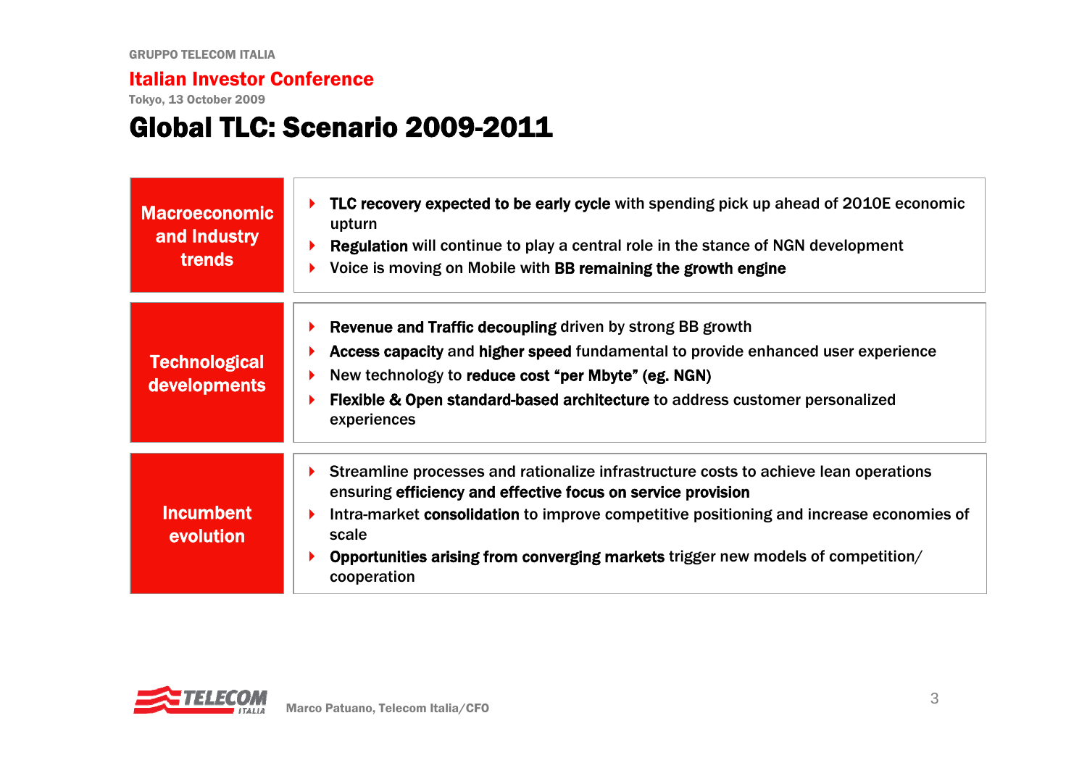Tokyo, 13 October 2009

### Global TLC: Scenario 2009-2011

| <b>Macroeconomic</b><br>and Industry<br><b>trends</b> | TLC recovery expected to be early cycle with spending pick up ahead of 2010E economic<br>upturn<br><b>Regulation</b> will continue to play a central role in the stance of NGN development<br>Voice is moving on Mobile with BB remaining the growth engine                                                                                                 |
|-------------------------------------------------------|-------------------------------------------------------------------------------------------------------------------------------------------------------------------------------------------------------------------------------------------------------------------------------------------------------------------------------------------------------------|
| <b>Technological</b><br><b>developments</b>           | <b>Revenue and Traffic decoupling driven by strong BB growth</b><br>Access capacity and higher speed fundamental to provide enhanced user experience<br>New technology to reduce cost "per Mbyte" (eg. NGN)<br><b>Flexible &amp; Open standard-based architecture to address customer personalized</b><br>experiences                                       |
| <b>Incumbent</b><br>evolution                         | Streamline processes and rationalize infrastructure costs to achieve lean operations<br>ensuring efficiency and effective focus on service provision<br>Intra-market consolidation to improve competitive positioning and increase economies of<br>scale<br>Opportunities arising from converging markets trigger new models of competition/<br>cooperation |

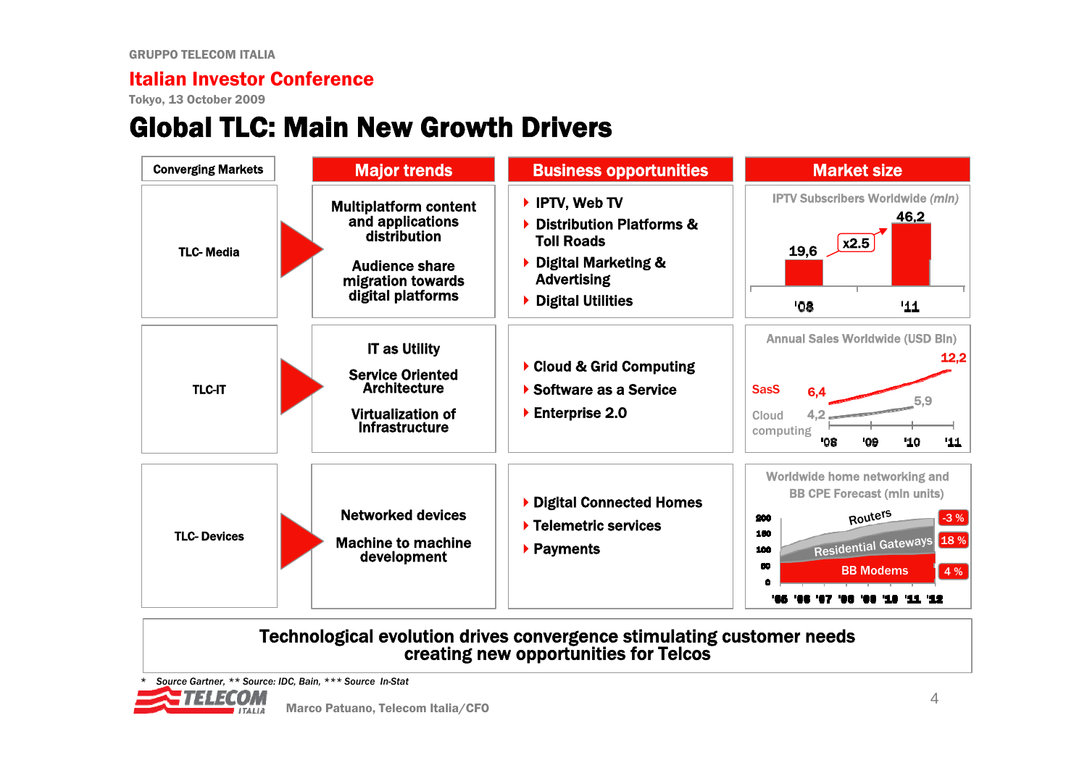Tokyo, 13 October 2009

## Global TLC: Main New Growth Drivers



#### Technological evolution drives convergence stimulating customer needs creating new opportunities for Telcos

*\* Source Gartner, \*\* Source: IDC, Bain, \*\*\* Source In-Stat*

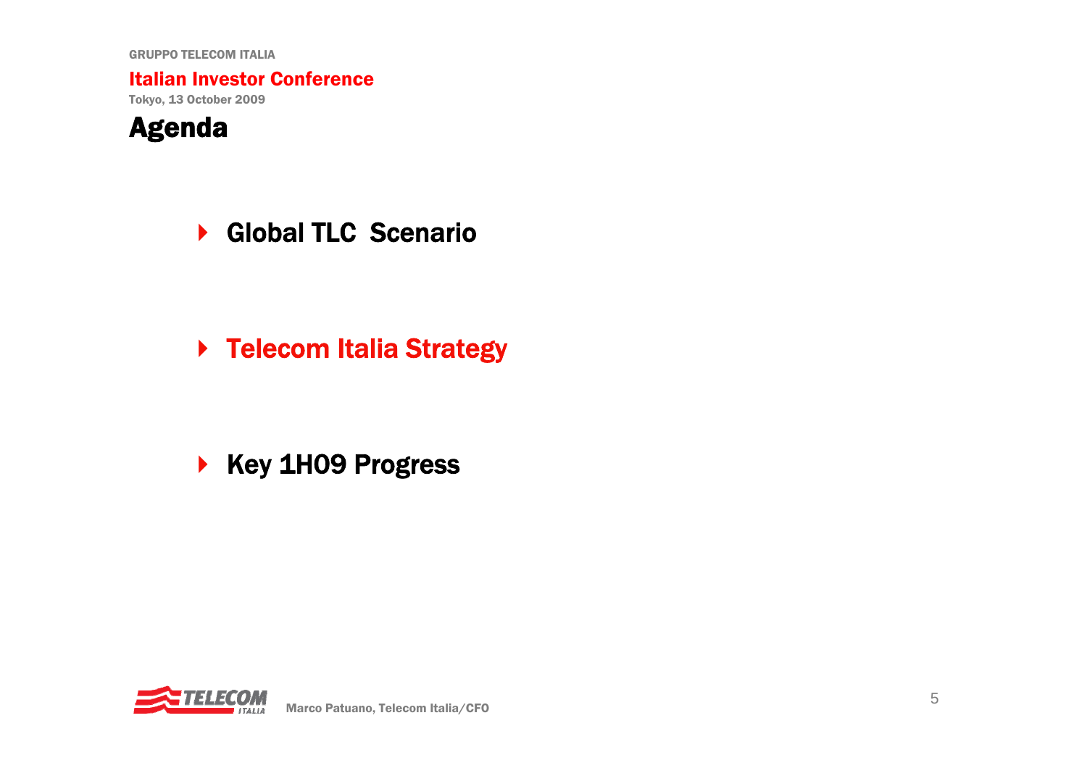Italian Investor Conference

Tokyo, 13 October 2009



▶ Global TLC Scenario

▶ Telecom Italia Strategy

▶ Key 1H09 Progress

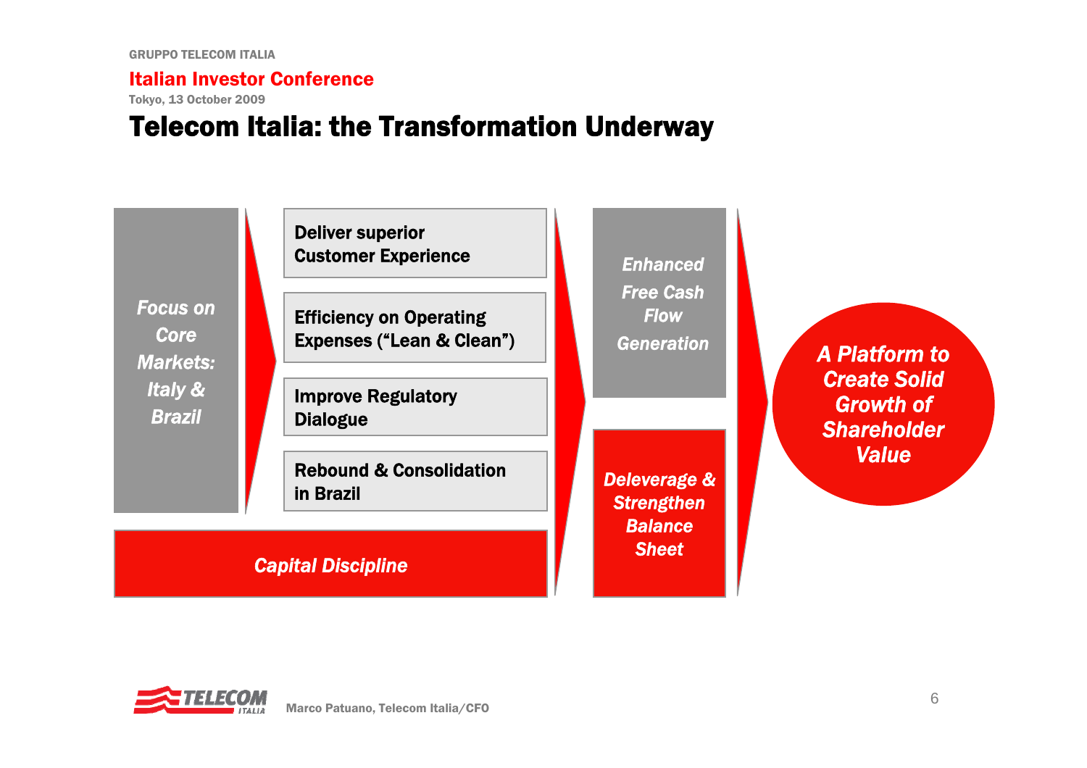Tokyo, 13 October 2009

### Telecom Italia: the Transformation Underway



### *Capital Discipline*

*A Platform to Create Solid Growth of Shareholder Value*

*Sheet*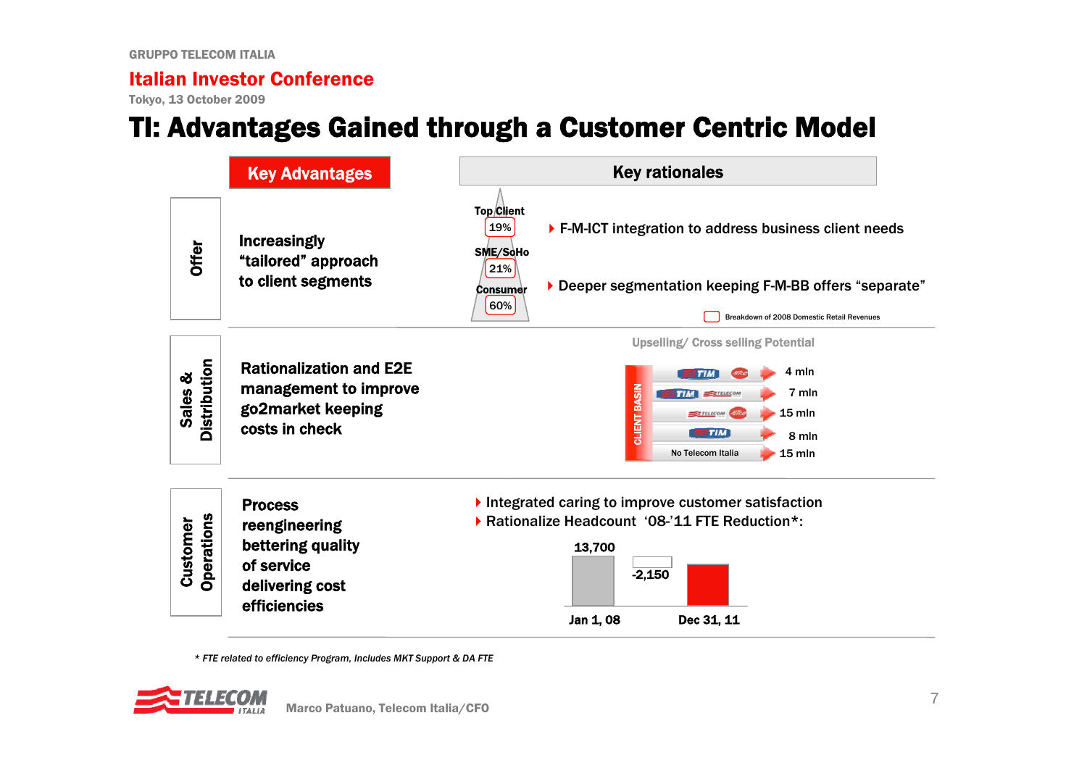Tokyo, 13 October 2009

### TI: Advantages Gained through a Customer Centric Model



*\* FTE related to efficiency Program, Includes MKT Support & DA FTE* 

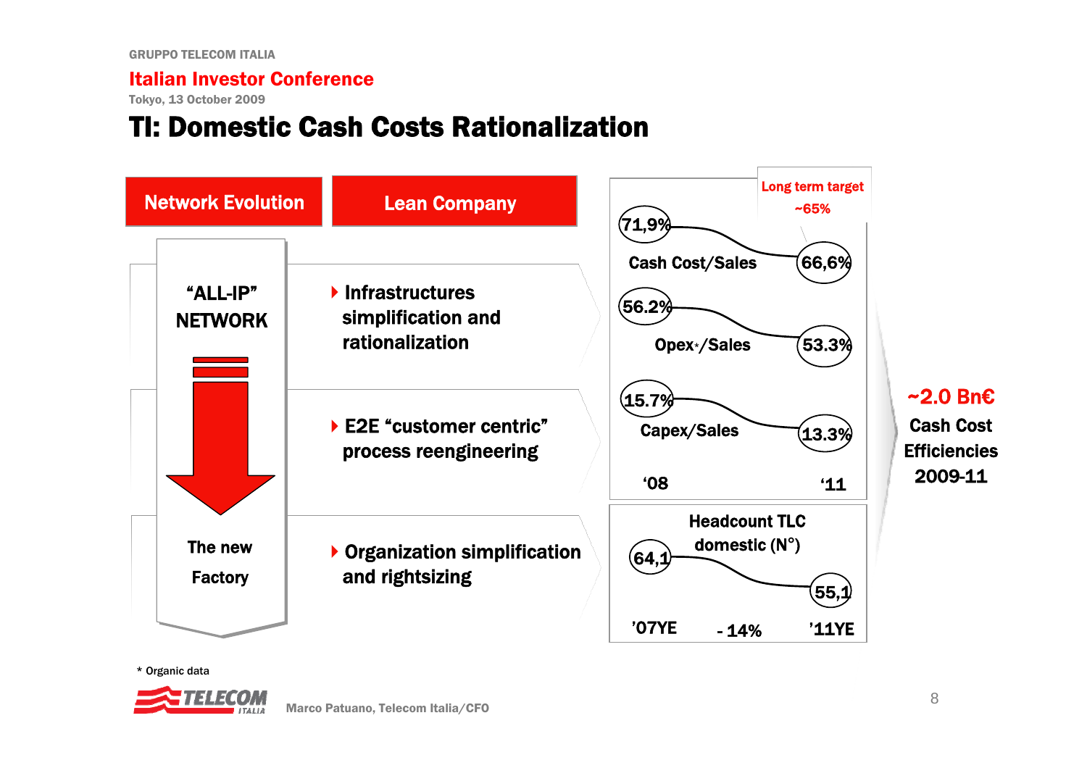Tokyo, 13 October 2009

### TI: Domestic Cash Costs Rationalization





Cash Cost**Efficiencies** 2009-11

\* Organic data

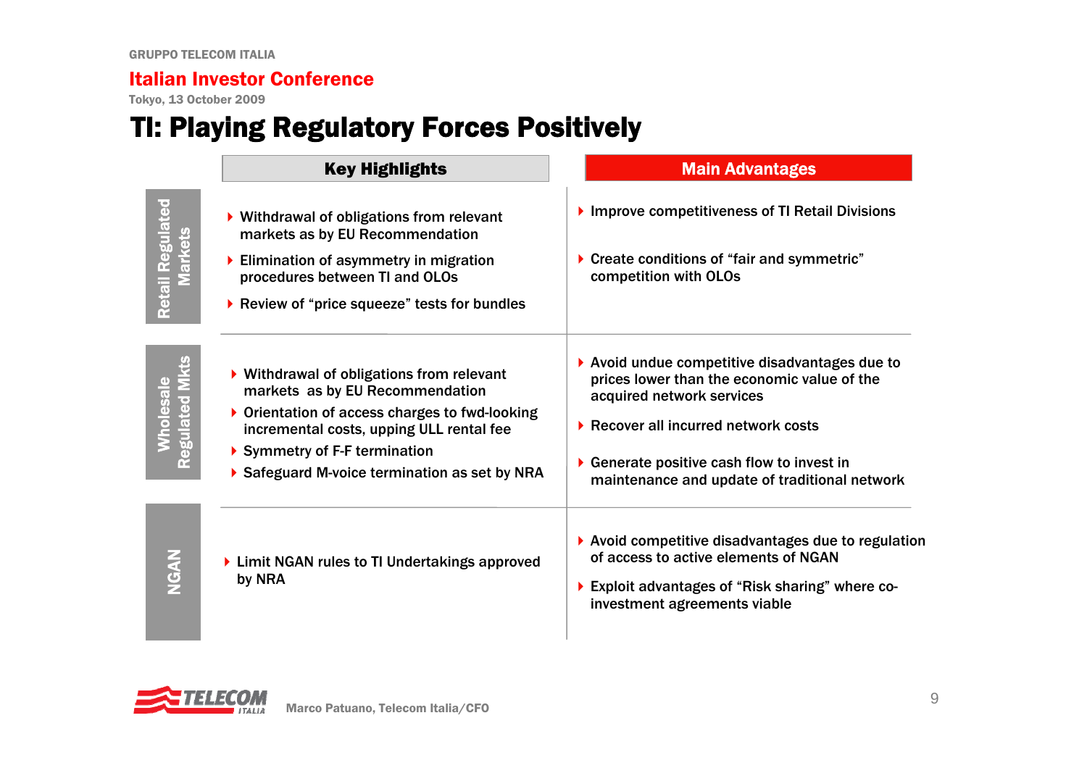Tokyo, 13 October 2009

# TI: Playing Regulatory Forces Positively

|                                           | <b>Key Highlights</b>                                                                                                                                                                                                                                    | <b>Main Advantages</b>                                                                                                                                                                                                                                               |
|-------------------------------------------|----------------------------------------------------------------------------------------------------------------------------------------------------------------------------------------------------------------------------------------------------------|----------------------------------------------------------------------------------------------------------------------------------------------------------------------------------------------------------------------------------------------------------------------|
| <b>Retail Regulated</b><br><b>Markets</b> | ▶ Withdrawal of obligations from relevant<br>markets as by EU Recommendation<br>Elimination of asymmetry in migration<br>procedures between TI and OLOs<br>▶ Review of "price squeeze" tests for bundles                                                 | Improve competitiveness of TI Retail Divisions<br>Create conditions of "fair and symmetric"<br>▶<br>competition with OLOs                                                                                                                                            |
| <b>Regulated MI</b><br>Vholesale          | ▶ Withdrawal of obligations from relevant<br>markets as by EU Recommendation<br>▶ Orientation of access charges to fwd-looking<br>incremental costs, upping ULL rental fee<br>Symmetry of F-F termination<br>Safeguard M-voice termination as set by NRA | ▶ Avoid undue competitive disadvantages due to<br>prices lower than the economic value of the<br>acquired network services<br>▶ Recover all incurred network costs<br>Generate positive cash flow to invest in<br>▶<br>maintenance and update of traditional network |
|                                           | ▶ Limit NGAN rules to TI Undertakings approved<br>by NRA                                                                                                                                                                                                 | $\blacktriangleright$ Avoid competitive disadvantages due to regulation<br>of access to active elements of NGAN<br>▶ Exploit advantages of "Risk sharing" where co-<br>investment agreements viable                                                                  |

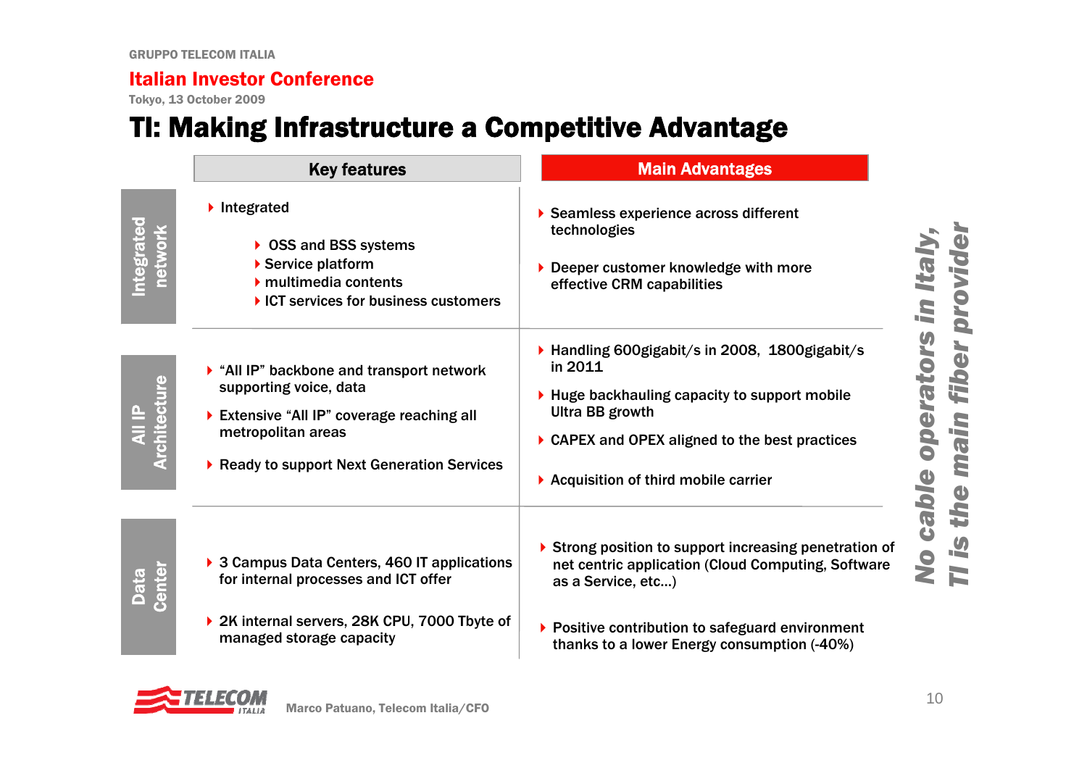Tokyo, 13 October 2009

### TI: Making Infrastructure a Competitive Advantage

|                                | <b>Key features</b>                                                                                                                                                               | <b>Main Advantages</b>                                                                                                                                                                                                                       |
|--------------------------------|-----------------------------------------------------------------------------------------------------------------------------------------------------------------------------------|----------------------------------------------------------------------------------------------------------------------------------------------------------------------------------------------------------------------------------------------|
| ntegrated                      | Integrated<br>▶ OSS and BSS systems<br>Service platform<br>$\blacktriangleright$ multimedia contents<br>▶ ICT services for business customers                                     | Seamless experience across different<br>technologies<br>Deeper customer knowledge with more<br>effective CRM capabilities                                                                                                                    |
| <b>All IP<br/>Architecture</b> | All IP" backbone and transport network<br>supporting voice, data<br>Extensive "All IP" coverage reaching all<br>metropolitan areas<br>▶ Ready to support Next Generation Services | ▶ Handling 600gigabit/s in 2008, 1800gigabit/s<br>in 2011<br>$\blacktriangleright$ Huge backhauling capacity to support mobile<br>Ultra BB growth<br>▶ CAPEX and OPEX aligned to the best practices<br>▶ Acquisition of third mobile carrier |
| <b>Data</b><br>Center          | ▶ 3 Campus Data Centers, 460 IT applications<br>for internal processes and ICT offer<br>▶ 2K internal servers, 28K CPU, 7000 Tbyte of<br>managed storage capacity                 | Strong position to support increasing penetration of<br>net centric application (Cloud Computing, Software<br>as a Service, etc)<br>▶ Positive contribution to safeguard environment<br>thanks to a lower Energy consumption (-40%)          |

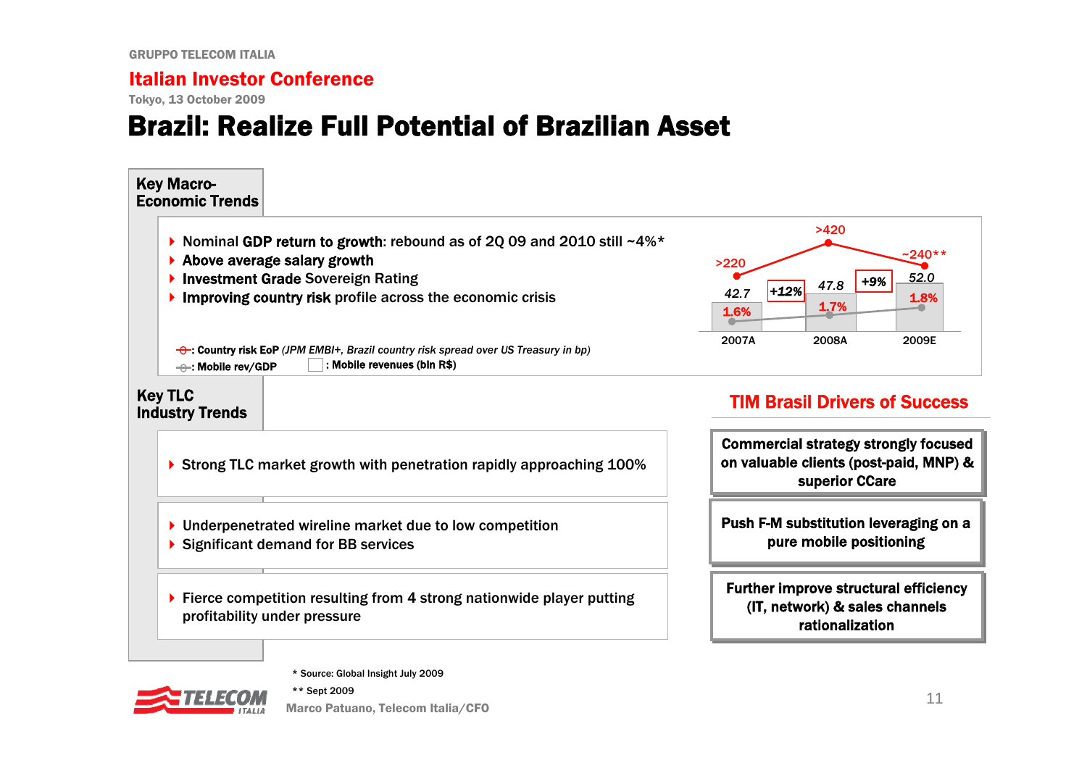Tokyo, 13 October 2009

### Brazil: Realize Full Potential of Brazilian Asset



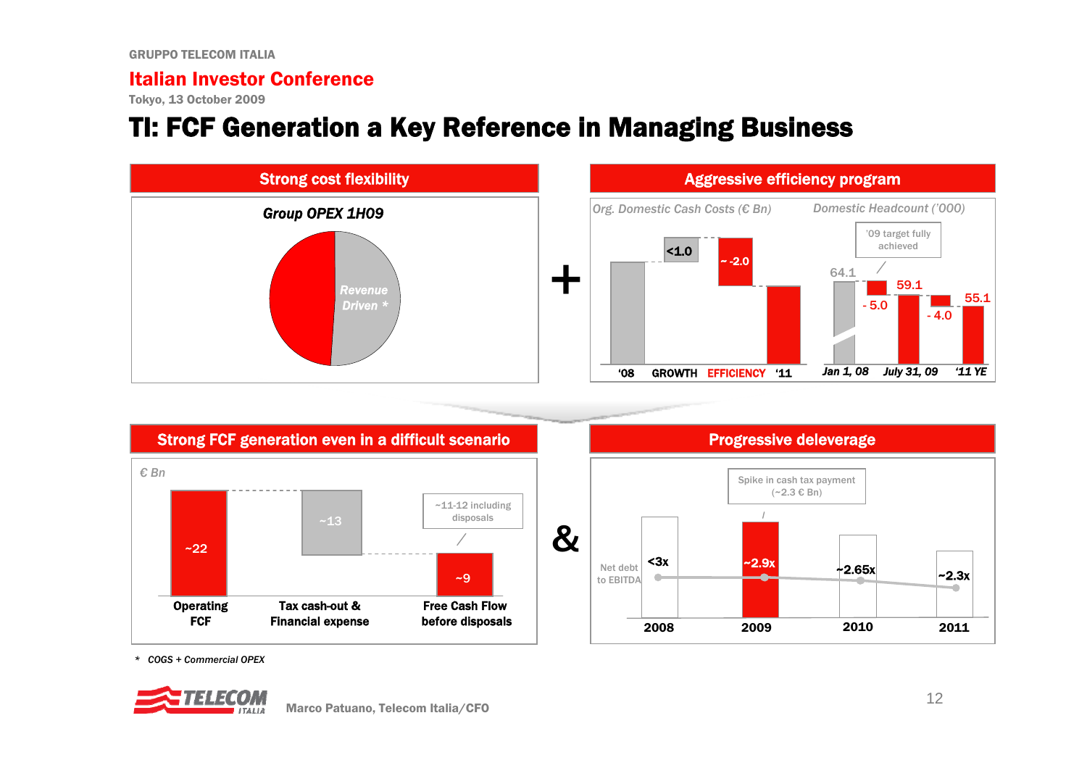Tokyo, 13 October 2009

### TI: FCF Generation a Key Reference in Managing Business









*\* COGS + Commercial OPEX*

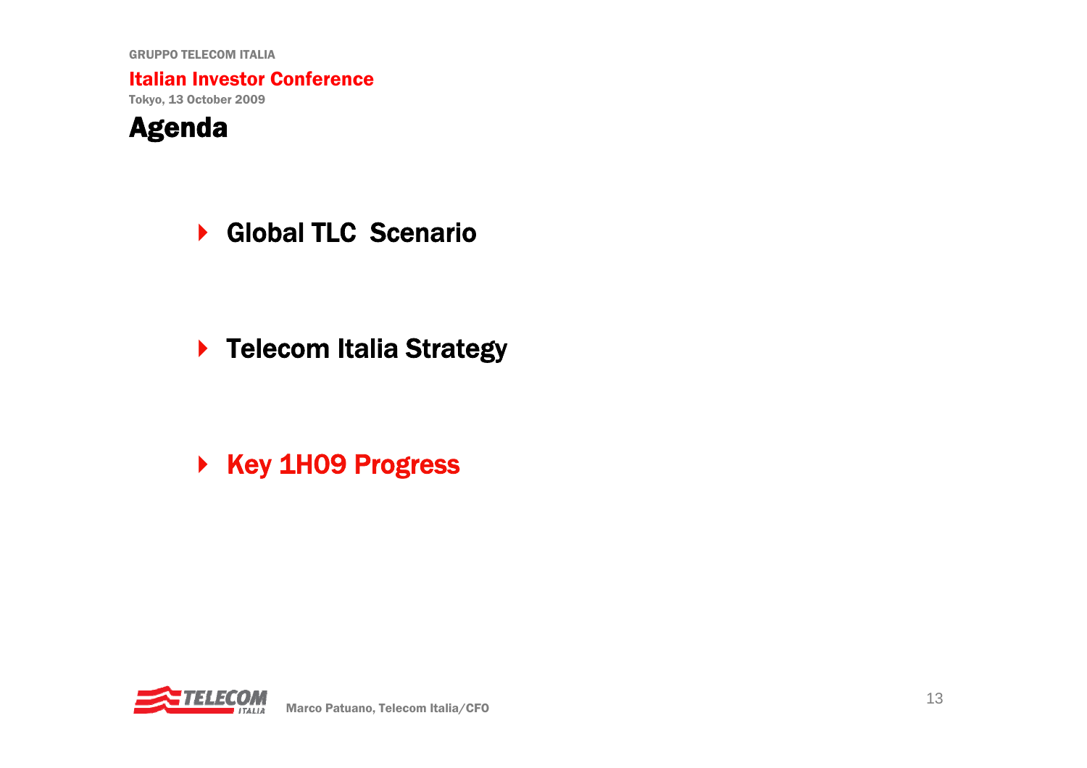Italian Investor Conference

Tokyo, 13 October 2009



▶ Global TLC Scenario

▶ Telecom Italia Strategy

▶ Key 1H09 Progress

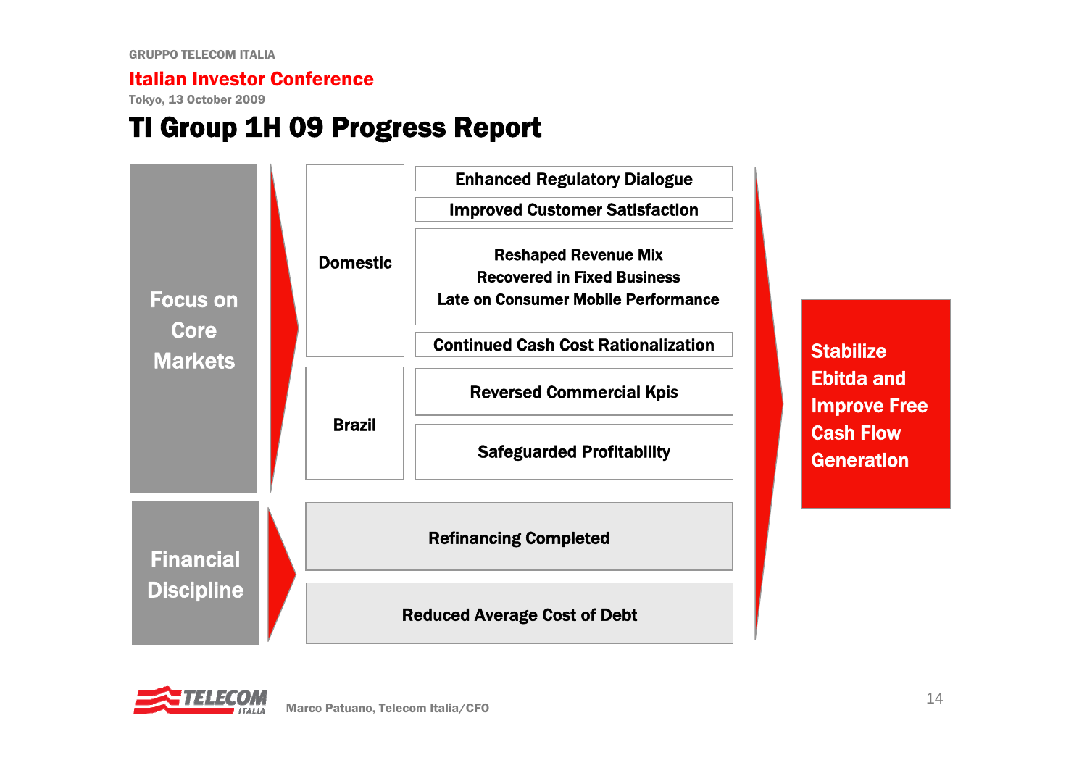Tokyo, 13 October 2009

### TI Group 1H 09 Progress Report



**Stabilize** Ebitda and Improve Free Cash Flow **Generation** 

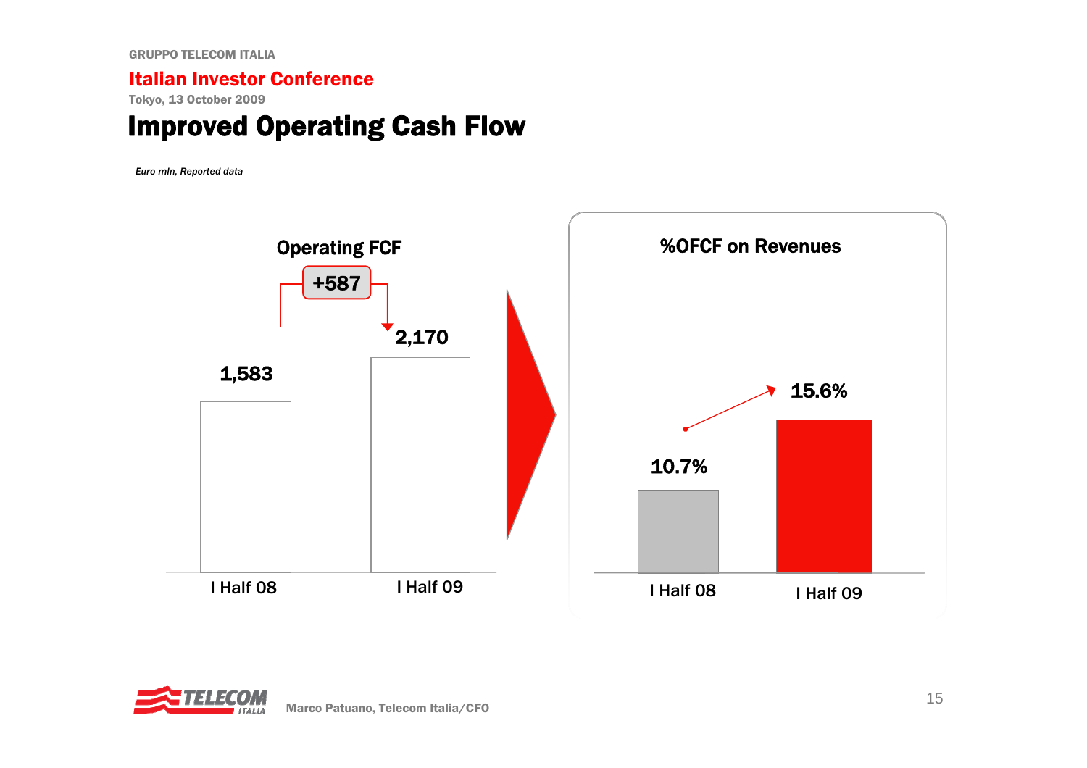#### Italian Investor Conference

Tokyo, 13 October 2009

### Improved Operating Cash Flow

*Euro mln, Reported data*



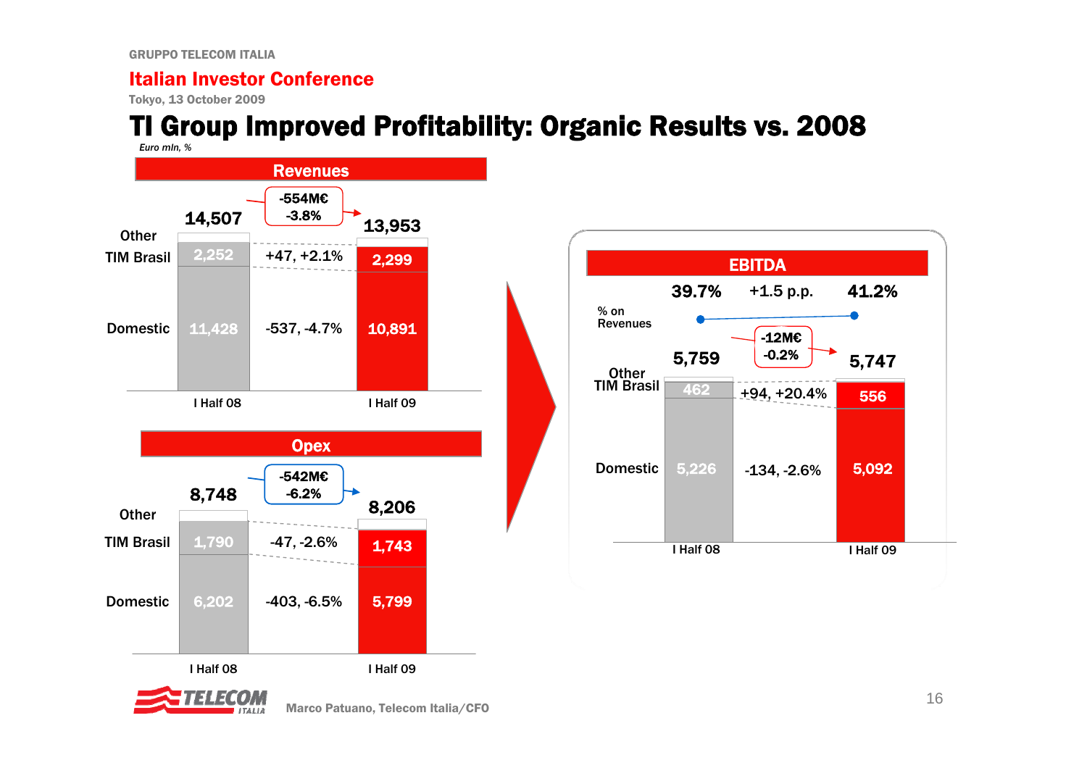#### Italian Investor Conference

Tokyo, 13 October 2009

# TI Group Improved Profitability: Organic Results vs. 2008







Marco Patuano, Telecom Italia/CFO 16 and 16 and 16 and 16 and 16 and 16 and 16 and 16 and 16 and 16 and 16 and 16 and 16 and 16 and 16 and 16 and 16 and 16 and 16 and 16 and 16 and 16 and 16 and 16 and 16 and 16 and 16 and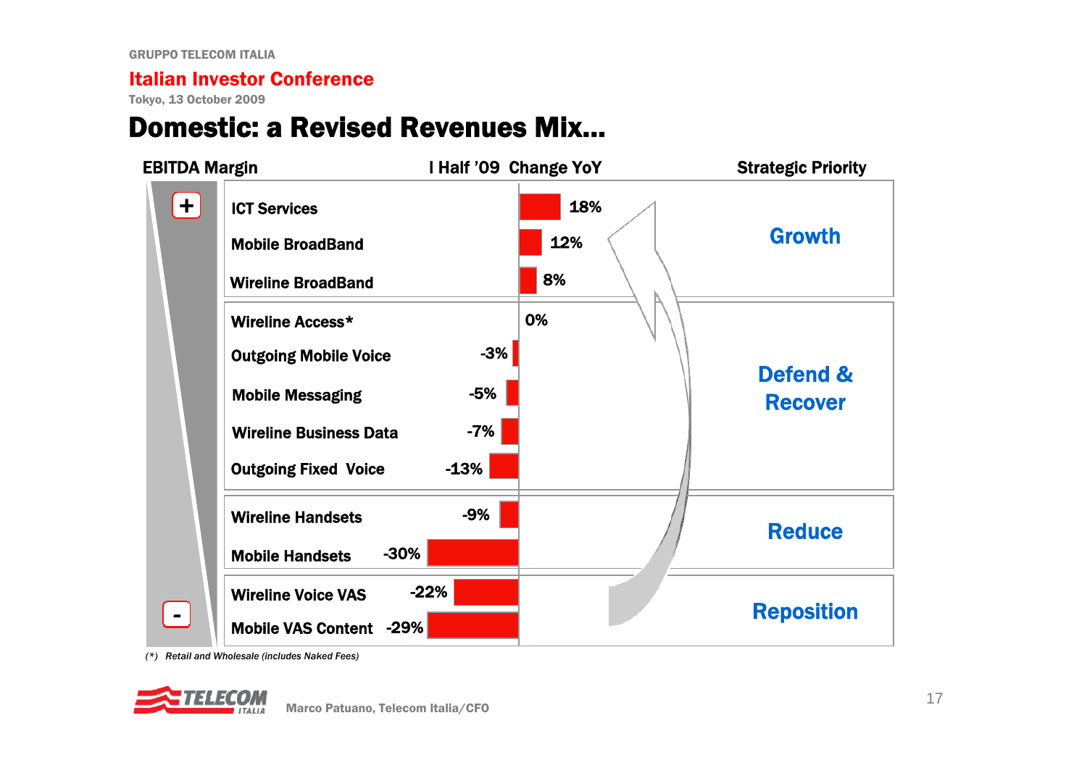Tokyo, 13 October 2009

### Domestic: a Revised Revenues Mix…



*(\*) Retail and Wholesale (includes Naked Fees)*

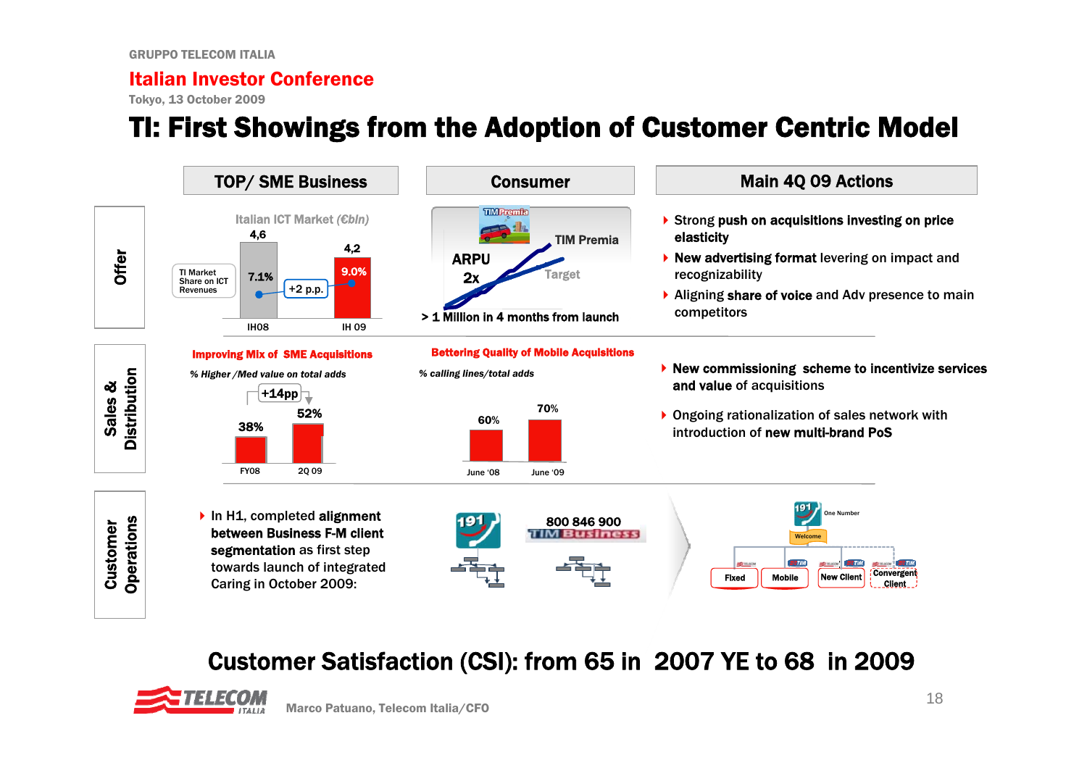Tokyo, 13 October 2009

# TI: First Showings from the Adoption of Customer Centric Model



### Customer Satisfaction (CSI): from 65 in 2007 YE to 68 in 2009

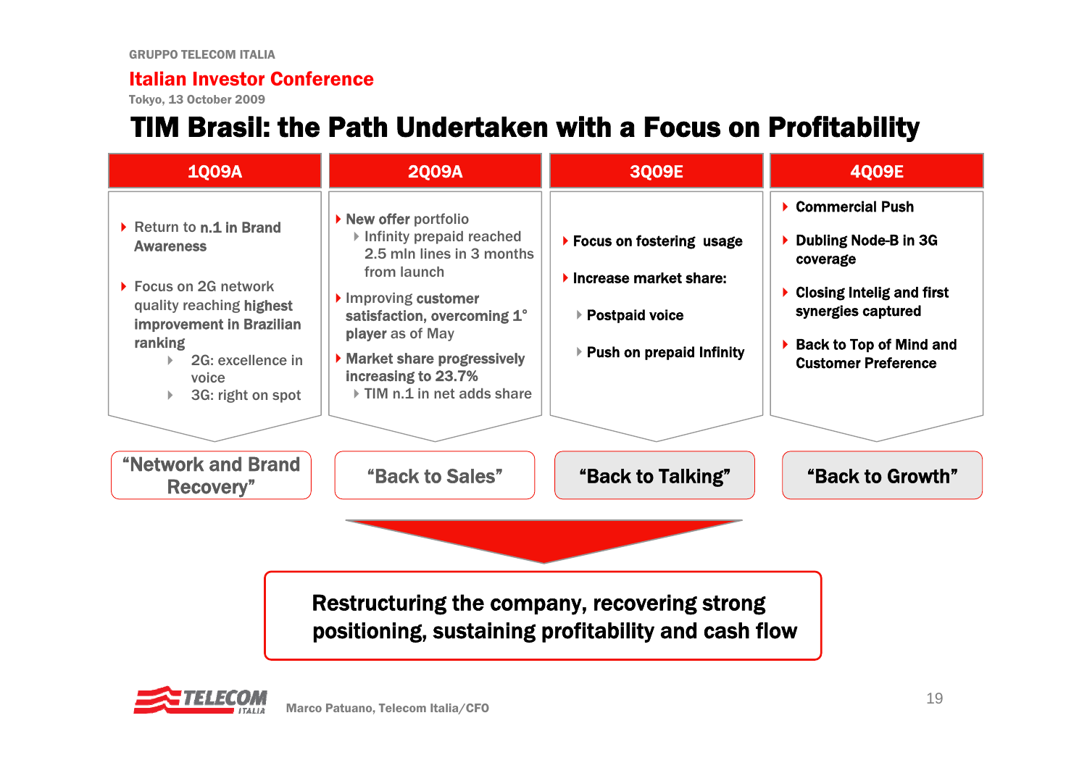Tokyo, 13 October 2009

# TIM Brasil: the Path Undertaken with a Focus on Profitability

| <b>1009A</b>                                                                                                                                                                                       | <b>2009A</b>                                                                                                                                                                                                                                             | 3Q09E                                                                                                  | <b>4009E</b>                                                                                                                                                                    |
|----------------------------------------------------------------------------------------------------------------------------------------------------------------------------------------------------|----------------------------------------------------------------------------------------------------------------------------------------------------------------------------------------------------------------------------------------------------------|--------------------------------------------------------------------------------------------------------|---------------------------------------------------------------------------------------------------------------------------------------------------------------------------------|
| ▶ Return to n.1 in Brand<br><b>Awareness</b><br>▶ Focus on 2G network<br>quality reaching highest<br><b>improvement in Brazilian</b><br>ranking<br>2G: excellence in<br>voice<br>3G: right on spot | ▶ New offer portfolio<br>Infinity prepaid reached<br>2.5 mln lines in 3 months<br>from launch<br>Improving customer<br>satisfaction, overcoming 1°<br>player as of May<br>Market share progressively<br>increasing to 23.7%<br>TIM n.1 in net adds share | ▶ Focus on fostering usage<br>Increase market share:<br>▶ Postpaid voice<br>▶ Push on prepaid Infinity | ▶ Commercial Push<br>Dubling Node-B in 3G<br>coverage<br><b>Closing Intelig and first</b><br>synergies captured<br><b>Back to Top of Mind and</b><br><b>Customer Preference</b> |
| <b>"Network and Brand</b><br>Recovery"                                                                                                                                                             | "Back to Sales"                                                                                                                                                                                                                                          | "Back to Talking"                                                                                      | "Back to Growth"                                                                                                                                                                |
|                                                                                                                                                                                                    | Restructuring the company, recovering strong<br>positioning, sustaining profitability and cash flow                                                                                                                                                      |                                                                                                        |                                                                                                                                                                                 |